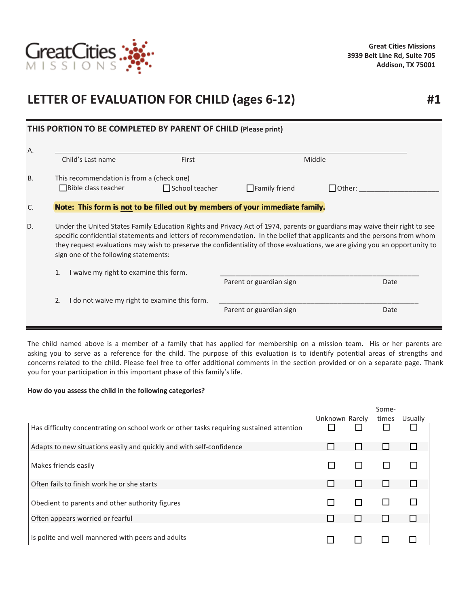

## **LETTER OF EVALUATION FOR CHILD (ages 6-12)**

|           | THIS PORTION TO BE COMPLETED BY PARENT OF CHILD (Please print)                                                                                                                                                                                                                                                                                                                                                                |                       |                                                                              |               |
|-----------|-------------------------------------------------------------------------------------------------------------------------------------------------------------------------------------------------------------------------------------------------------------------------------------------------------------------------------------------------------------------------------------------------------------------------------|-----------------------|------------------------------------------------------------------------------|---------------|
| Α.        | Child's Last name                                                                                                                                                                                                                                                                                                                                                                                                             | First                 | Middle                                                                       |               |
|           |                                                                                                                                                                                                                                                                                                                                                                                                                               |                       |                                                                              |               |
| <b>B.</b> | This recommendation is from a (check one)                                                                                                                                                                                                                                                                                                                                                                                     |                       |                                                                              |               |
|           | $\Box$ Bible class teacher                                                                                                                                                                                                                                                                                                                                                                                                    | $\Box$ School teacher | $\Box$ Family friend                                                         | $\Box$ Other: |
| C.        |                                                                                                                                                                                                                                                                                                                                                                                                                               |                       | Note: This form is not to be filled out by members of your immediate family. |               |
| D.        | Under the United States Family Education Rights and Privacy Act of 1974, parents or guardians may waive their right to see<br>specific confidential statements and letters of recommendation. In the belief that applicants and the persons from whom<br>they request evaluations may wish to preserve the confidentiality of those evaluations, we are giving you an opportunity to<br>sign one of the following statements: |                       |                                                                              |               |
|           | I waive my right to examine this form.<br>1.                                                                                                                                                                                                                                                                                                                                                                                  |                       |                                                                              |               |
|           |                                                                                                                                                                                                                                                                                                                                                                                                                               |                       | Parent or guardian sign                                                      | Date          |
|           | I do not waive my right to examine this form.<br>2.                                                                                                                                                                                                                                                                                                                                                                           |                       |                                                                              |               |
|           |                                                                                                                                                                                                                                                                                                                                                                                                                               |                       | Parent or guardian sign                                                      | Date          |
|           |                                                                                                                                                                                                                                                                                                                                                                                                                               |                       |                                                                              |               |

The child named above is a member of a family that has applied for membership on a mission team. His or her parents are asking you to serve as a reference for the child. The purpose of this evaluation is to identify potential areas of strengths and concerns related to the child. Please feel free to offer additional comments in the section provided or on a separate page. Thank you for your participation in this important phase of this family's life.

## **How do you assess the child in the following categories?**

|                                                                                          |                | Some-        |         |
|------------------------------------------------------------------------------------------|----------------|--------------|---------|
| Has difficulty concentrating on school work or other tasks requiring sustained attention | Unknown Rarely | times        | Usually |
| Adapts to new situations easily and quickly and with self-confidence                     |                |              |         |
| Makes friends easily                                                                     |                |              |         |
| Often fails to finish work he or she starts                                              |                |              |         |
| Obedient to parents and other authority figures                                          |                |              |         |
| Often appears worried or fearful                                                         |                | $\mathbf{I}$ |         |
| Is polite and well mannered with peers and adults                                        |                |              |         |